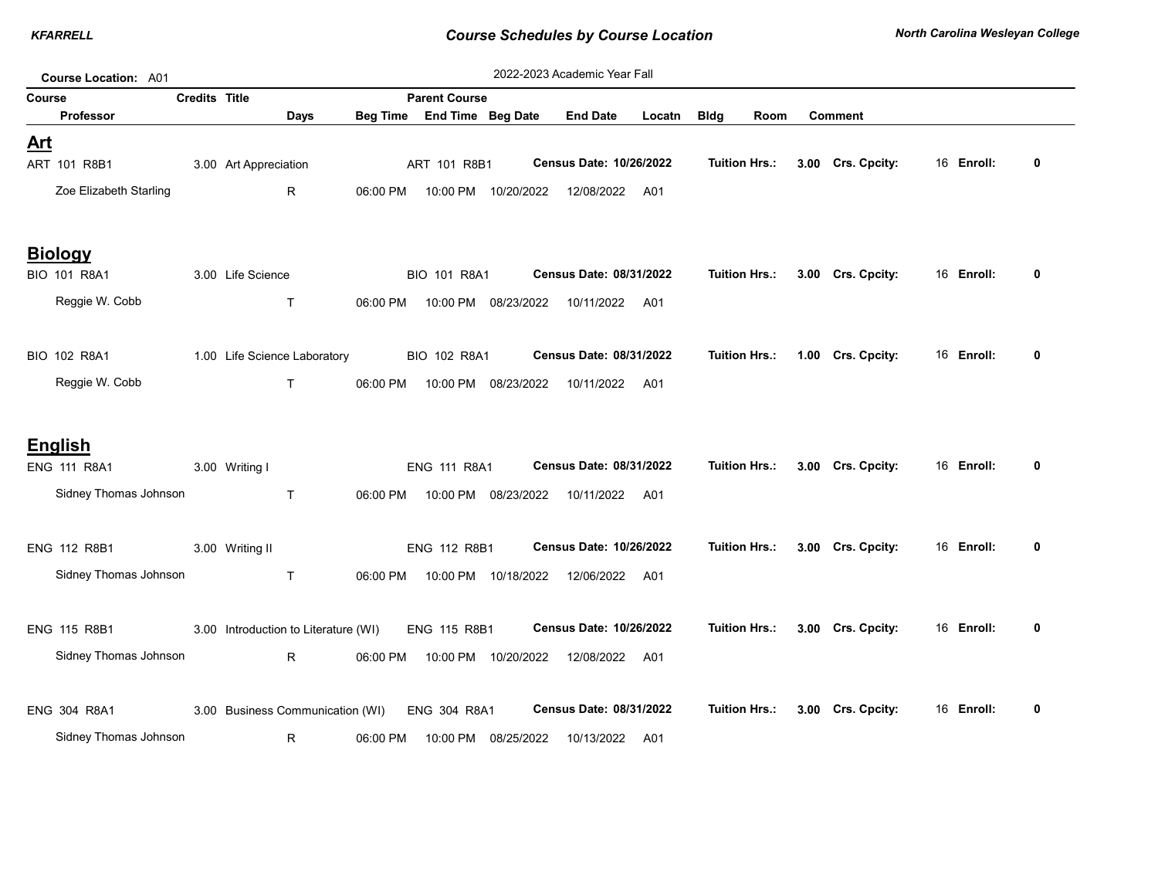| 2022-2023 Academic Year Fall<br>Course Location: A01 |                        |                      |                                      |          |                      |                      |                         |        |                      |      |                   |            |              |
|------------------------------------------------------|------------------------|----------------------|--------------------------------------|----------|----------------------|----------------------|-------------------------|--------|----------------------|------|-------------------|------------|--------------|
| Course                                               |                        | <b>Credits Title</b> |                                      |          | <b>Parent Course</b> |                      |                         |        |                      |      |                   |            |              |
|                                                      | <b>Professor</b>       |                      | <b>Days</b>                          | Beg Time | End Time Beg Date    |                      | <b>End Date</b>         | Locatn | <b>Bldg</b>          | Room | <b>Comment</b>    |            |              |
| <u>Art</u>                                           | ART 101 R8B1           |                      | 3.00 Art Appreciation                |          | ART 101 R8B1         |                      | Census Date: 10/26/2022 |        | <b>Tuition Hrs.:</b> |      | 3.00 Crs. Cpcity: | 16 Enroll: | $\bf{0}$     |
|                                                      | Zoe Elizabeth Starling |                      | $\mathsf{R}$                         | 06:00 PM |                      | 10:00 PM 10/20/2022  | 12/08/2022              | A01    |                      |      |                   |            |              |
|                                                      |                        |                      |                                      |          |                      |                      |                         |        |                      |      |                   |            |              |
|                                                      | <b>Biology</b>         |                      |                                      |          |                      |                      |                         |        |                      |      |                   |            |              |
|                                                      | BIO 101 R8A1           |                      | 3.00 Life Science                    |          | <b>BIO 101 R8A1</b>  |                      | Census Date: 08/31/2022 |        | <b>Tuition Hrs.:</b> |      | 3.00 Crs. Cpcity: | 16 Enroll: | 0            |
|                                                      | Reggie W. Cobb         |                      | $\mathsf{T}$                         | 06:00 PM |                      | 10:00 PM 08/23/2022  | 10/11/2022              | A01    |                      |      |                   |            |              |
|                                                      |                        |                      |                                      |          |                      |                      |                         |        |                      |      |                   |            |              |
|                                                      | BIO 102 R8A1           |                      | 1.00 Life Science Laboratory         |          | BIO 102 R8A1         |                      | Census Date: 08/31/2022 |        | <b>Tuition Hrs.:</b> |      | 1.00 Crs. Cpcity: | 16 Enroll: | 0            |
|                                                      | Reggie W. Cobb         |                      | T.                                   | 06:00 PM |                      | 10:00 PM 08/23/2022  | 10/11/2022              | A01    |                      |      |                   |            |              |
|                                                      | <b>English</b>         |                      |                                      |          |                      |                      |                         |        |                      |      |                   |            |              |
|                                                      | ENG 111 R8A1           |                      | 3.00 Writing I                       |          | ENG 111 R8A1         |                      | Census Date: 08/31/2022 |        | <b>Tuition Hrs.:</b> |      | 3.00 Crs. Cpcity: | 16 Enroll: | 0            |
|                                                      | Sidney Thomas Johnson  |                      | T.                                   | 06:00 PM |                      | 10:00 PM 08/23/2022  | 10/11/2022              | A01    |                      |      |                   |            |              |
|                                                      |                        |                      |                                      |          |                      |                      |                         |        | <b>Tuition Hrs.:</b> |      |                   | 16 Enroll: | 0            |
|                                                      | <b>ENG 112 R8B1</b>    |                      | 3.00 Writing II                      |          | ENG 112 R8B1         |                      | Census Date: 10/26/2022 |        |                      |      | 3.00 Crs. Cpcity: |            |              |
|                                                      | Sidney Thomas Johnson  |                      | $\mathsf{T}$                         | 06:00 PM |                      | 10:00 PM  10/18/2022 | 12/06/2022 A01          |        |                      |      |                   |            |              |
|                                                      | ENG 115 R8B1           |                      | 3.00 Introduction to Literature (WI) |          | ENG 115 R8B1         |                      | Census Date: 10/26/2022 |        | <b>Tuition Hrs.:</b> |      | 3.00 Crs. Cpcity: | 16 Enroll: | 0            |
|                                                      | Sidney Thomas Johnson  |                      | $R_{\parallel}$                      | 06:00 PM |                      | 10:00 PM  10/20/2022 | 12/08/2022              | A01    |                      |      |                   |            |              |
|                                                      |                        |                      |                                      |          |                      |                      |                         |        | <b>Tuition Hrs.:</b> |      |                   | 16 Enroll: | $\mathbf{0}$ |
|                                                      | ENG 304 R8A1           |                      | 3.00 Business Communication (WI)     |          | ENG 304 R8A1         |                      | Census Date: 08/31/2022 |        |                      |      | 3.00 Crs. Cpcity: |            |              |
|                                                      | Sidney Thomas Johnson  |                      | R.                                   | 06:00 PM |                      | 10:00 PM 08/25/2022  | 10/13/2022              | A01    |                      |      |                   |            |              |